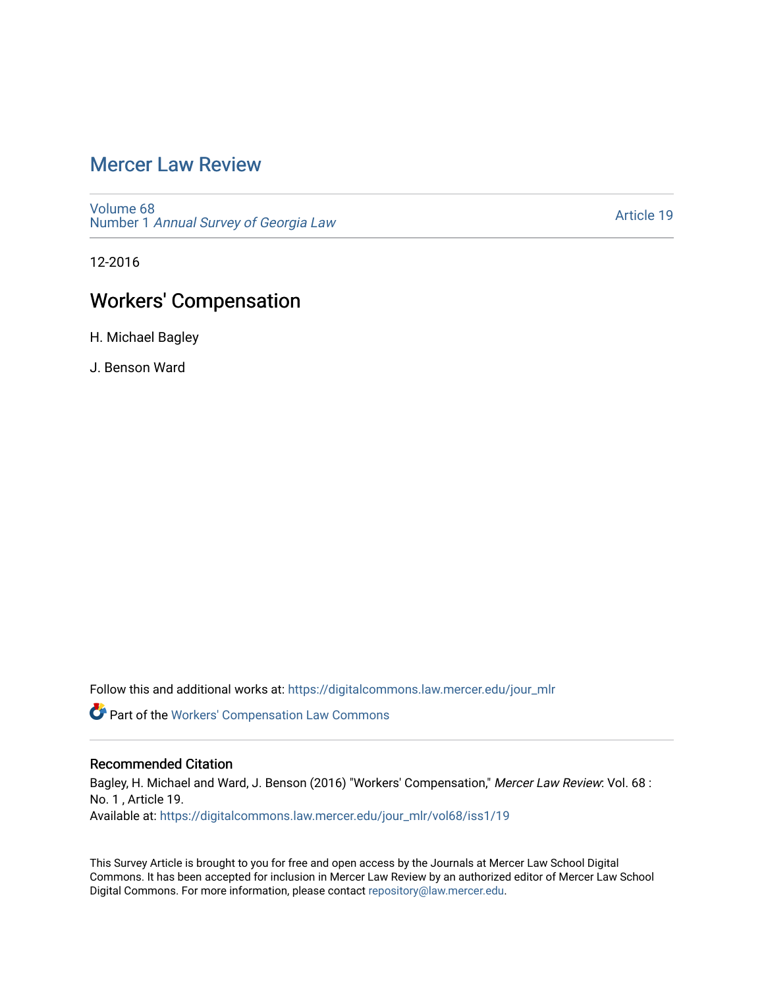# [Mercer Law Review](https://digitalcommons.law.mercer.edu/jour_mlr)

[Volume 68](https://digitalcommons.law.mercer.edu/jour_mlr/vol68) Number 1 [Annual Survey of Georgia Law](https://digitalcommons.law.mercer.edu/jour_mlr/vol68/iss1) 

[Article 19](https://digitalcommons.law.mercer.edu/jour_mlr/vol68/iss1/19) 

12-2016

# Workers' Compensation

H. Michael Bagley

J. Benson Ward

Follow this and additional works at: [https://digitalcommons.law.mercer.edu/jour\\_mlr](https://digitalcommons.law.mercer.edu/jour_mlr?utm_source=digitalcommons.law.mercer.edu%2Fjour_mlr%2Fvol68%2Fiss1%2F19&utm_medium=PDF&utm_campaign=PDFCoverPages)

Part of the [Workers' Compensation Law Commons](http://network.bepress.com/hgg/discipline/889?utm_source=digitalcommons.law.mercer.edu%2Fjour_mlr%2Fvol68%2Fiss1%2F19&utm_medium=PDF&utm_campaign=PDFCoverPages)

# Recommended Citation

Bagley, H. Michael and Ward, J. Benson (2016) "Workers' Compensation," Mercer Law Review: Vol. 68 : No. 1 , Article 19. Available at: [https://digitalcommons.law.mercer.edu/jour\\_mlr/vol68/iss1/19](https://digitalcommons.law.mercer.edu/jour_mlr/vol68/iss1/19?utm_source=digitalcommons.law.mercer.edu%2Fjour_mlr%2Fvol68%2Fiss1%2F19&utm_medium=PDF&utm_campaign=PDFCoverPages) 

This Survey Article is brought to you for free and open access by the Journals at Mercer Law School Digital Commons. It has been accepted for inclusion in Mercer Law Review by an authorized editor of Mercer Law School Digital Commons. For more information, please contact [repository@law.mercer.edu](mailto:repository@law.mercer.edu).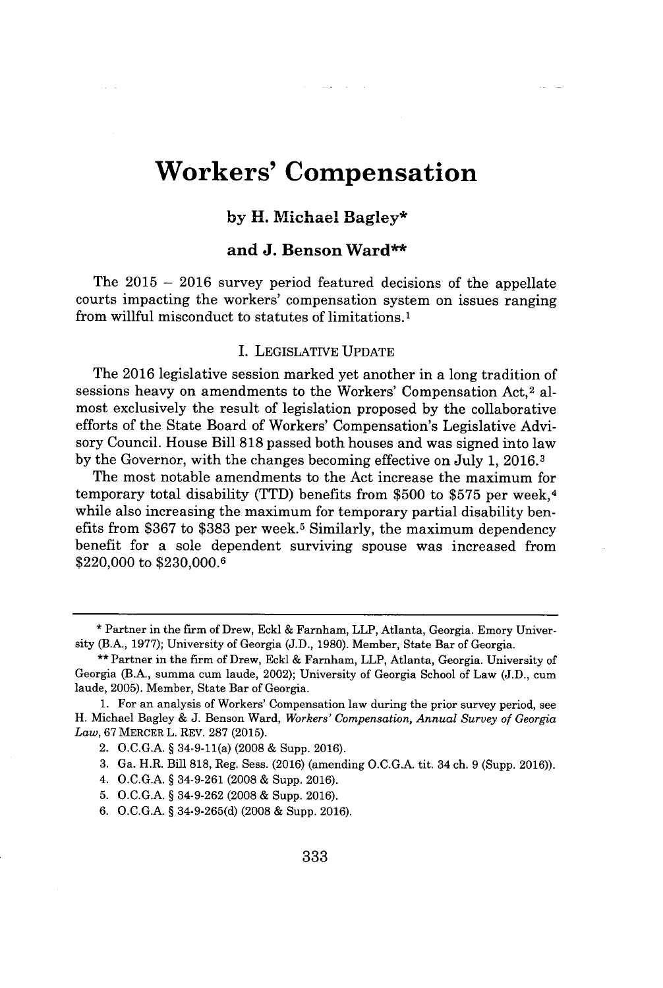# **Workers' Compensation**

# **by H. Michael Bagley\***

## **and J. Benson Ward\*\***

**The 2015 - 2016** survey period featured decisions of the appellate courts impacting the workers' compensation system on issues ranging from willful misconduct to statutes of limitations.<sup>1</sup>

#### **I.** LEGISLATIVE **UPDATE**

The **2016** legislative session marked yet another in a long tradition of sessions heavy on amendments to the Workers' Compensation Act,<sup>2</sup> almost exclusively the result of legislation proposed **by** the collaborative efforts of the State Board of Workers' Compensation's Legislative Advisory Council. House Bill **818** passed both houses and was signed into law **by** the Governor, with the changes becoming effective on July **1, 2016.3**

The most notable amendments to the Act increase the maximum for temporary total disability (TTD) benefits from **\$500** to **\$575** per week, <sup>4</sup> while also increasing the maximum for temporary partial disability benefits from **\$367** to **\$383** per week.<sup>5</sup>Similarly, the maximum dependency benefit for a sole dependent surviving spouse was increased from \$220,000 to **\$230,000.6**

- **5. O.C.G.A. §** 34-9-262 **(2008 &** Supp. **2016).**
- **6. O.C.G.A. § 34-9-265(d) (2008 &** Supp. **2016).**

**<sup>\*</sup>** Partner in the firm of Drew, Ecki **&** Farnham, LLP, Atlanta, Georgia. Emory University (B.A., **1977);** University of Georgia **(J.D., 1980).** Member, State Bar of Georgia.

**<sup>\*\*</sup>** Partner in the firm of Drew, Eckl **&** Farnham, LLP, Atlanta, Georgia. University of Georgia (B.A., summa cum laude, 2002); University of Georgia School of Law **(J.D.,** cum laude, **2005).** Member, State Bar of Georgia.

**<sup>1.</sup>** For an analysis of Workers' Compensation law during the prior survey period, see H. Michael Bagley **& J.** Benson Ward, *Workers' Compensation, Annual Survey of Georgia Law,* **67** MERCER L. REV. **287 (2015).**

<sup>2.</sup> **O.C.G.A. §** 34-9-11(a) **(2008 &** Supp. **2016).**

**<sup>3.</sup>** Ga. H.R. Bill **818,** Reg. Sess. **(2016)** (amending **O.C.G.A.** tit. 34 ch. **9** (Supp. **2016)).**

<sup>4.</sup> **O.C.G.A. §** 34-9-261 **(2008 &** Supp. **2016).**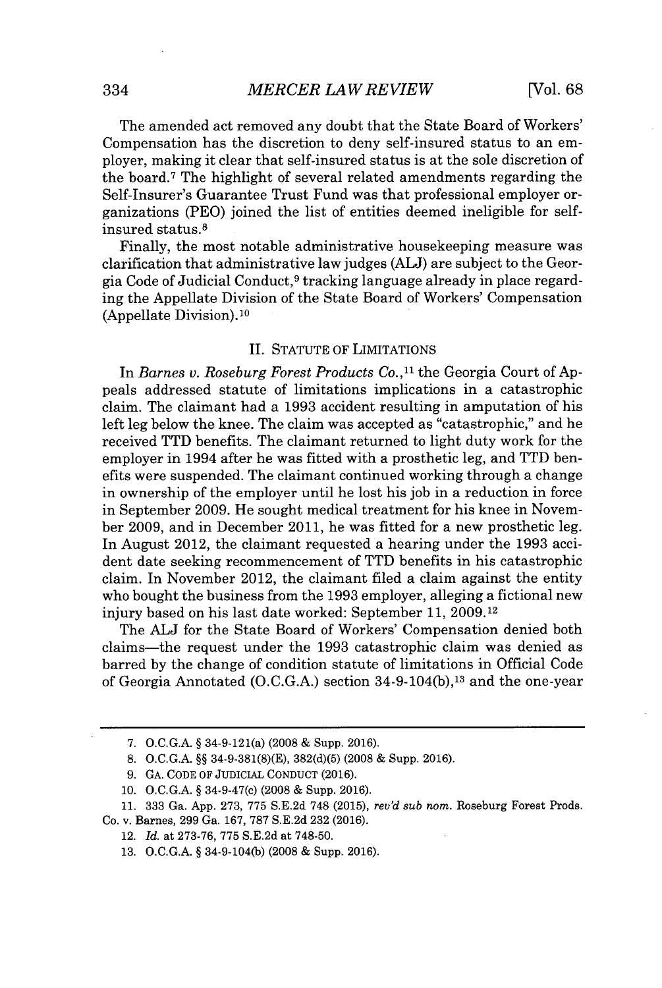The amended act removed any doubt that the State Board of Workers' Compensation has the discretion to deny self-insured status to an employer, making it clear that self-insured status is at the sole discretion of the board.<sup>7</sup>The highlight of several related amendments regarding the Self-Insurer's Guarantee Trust Fund was that professional employer organizations (PEO) joined the list of entities deemed ineligible for selfinsured status.<sup>8</sup>

Finally, the most notable administrative housekeeping measure was clarification that administrative law judges **(ALJ)** are subject to the Georgia Code of Judicial Conduct,9 tracking language already in place regarding the Appellate Division of the State Board of Workers' Compensation (Appellate Division). <sup>10</sup>

#### **II. STATUTE** OF LIMITATIONS

In *Barnes v. Roseburg Forest Products Co.,"* the Georgia Court of **Ap**peals addressed statute of limitations implications in a catastrophic claim. The claimant had a **1993** accident resulting in amputation of his left leg below the knee. The claim was accepted as "catastrophic," and he received TTD benefits. The claimant returned to light duty work for the employer in 1994 after he was fitted with a prosthetic leg, and TTD benefits were suspended. The claimant continued working through a change in ownership of the employer until he lost his **job** in a reduction in force in September **2009.** He sought medical treatment for his knee in November **2009,** and in December 2011, he was fitted for a new prosthetic leg. In August 2012, the claimant requested a hearing under the **1993** accident date seeking recommencement of TTD benefits in his catastrophic claim. In November 2012, the claimant filed a claim against the entity who bought the business from the **1993** employer, alleging a fictional new injury based on his last date worked: September **11, 2009.12**

The **ALJ** for the State Board of Workers' Compensation denied both claims-the request under the **1993** catastrophic claim was denied as barred **by** the change of condition statute of limitations in Official Code of Georgia Annotated **(O.C.G.A.)** section 34-9-104(b),13 and the one-year

**<sup>7.</sup> O.C.G.A. §** 34-9-121(a) **(2008 &** Supp. **2016).**

**<sup>8.</sup> O.C.G.A. §§ 34-9-381(8)(E), 382(d)(5) (2008 &** Supp. **2016).**

**<sup>9.</sup> GA. CODE** OF **JUDICIAL CONDUCT (2016).**

**<sup>10.</sup> O.C.G.A. §** 34-9-47(c) **(2008 &** Supp. **2016).**

**<sup>11. 333</sup>** Ga. **App. 273, 775 S.E.2d 748 (2015),** *rev'd sub nom.* Roseburg Forest Prods. Co. v. Barnes, **299** Ga. **167, 787 S.E.2d 232 (2016).**

<sup>12.</sup> *Id.* at **273-76, 775 S.E.2d** at **748-50.**

**<sup>13.</sup> O.C.G.A. §** 34-9-104(b) **(2008 &** Supp. **2016).**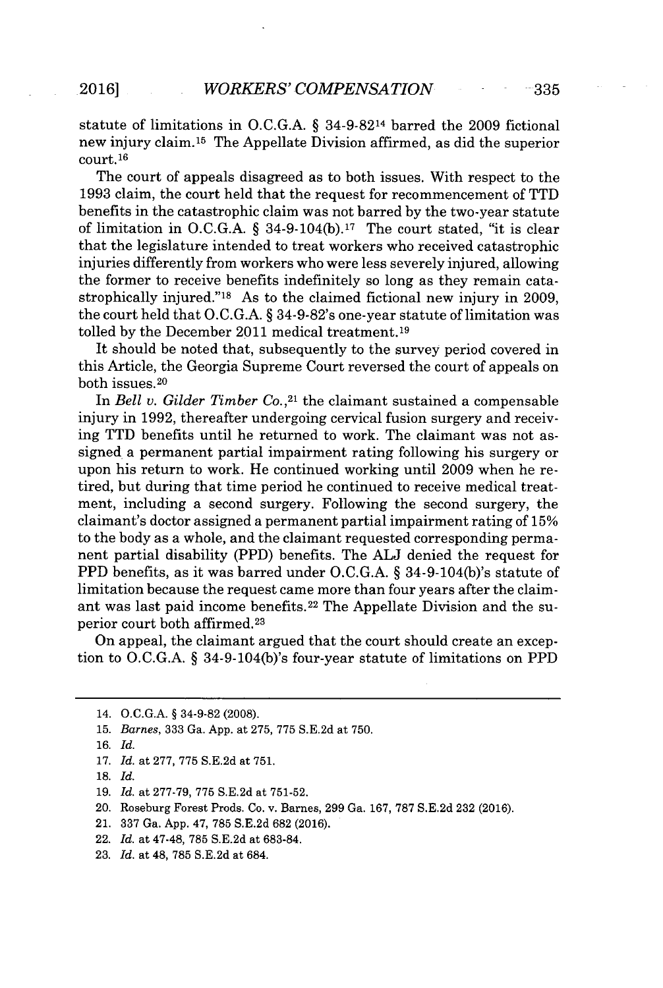statute of limitations in **O.C.G.A. §** 34-9-8214 barred the **2009** fictional new injury claim.<sup>15</sup> The Appellate Division affirmed, as did the superior court. **<sup>16</sup>**

The court of appeals disagreed as to both issues. With respect to the **1993** claim, the court held that the request for recommencement of TTD benefits in the catastrophic claim was not barred **by** the two-year statute of limitation in **O.C.G.A. §** 34-9-104(b).17 The court stated, "it is clear that the legislature intended to treat workers who received catastrophic injuries differently from workers who were less severely injured, allowing the former to receive benefits indefinitely so long as they remain catastrophically injured."<sup>18</sup>As to the claimed fictional new injury in **2009,** the court held that **O.C.G.A.** *§* 34-9-82's one-year statute of limitation was tolled **by** the December 2011 medical treatment. <sup>19</sup>

It should be noted that, subsequently to the survey period covered in this Article, the Georgia Supreme Court reversed the court of appeals on both issues. <sup>20</sup>

In *Bell v. Gilder Timber Co.,<sup>21</sup>*the claimant sustained a compensable injury in **1992,** thereafter undergoing cervical fusion surgery and receiving TTD benefits until he returned to work. The claimant was not assigned a permanent partial impairment rating following his surgery or upon his return to work. He continued working until **2009** when he retired, but during that time period he continued to receive medical treatment, including a second surgery. Following the second surgery, the claimant's doctor assigned a permanent partial impairment rating of **15%** to the body as a whole, and the claimant requested corresponding permanent partial disability (PPD) benefits. The **ALJ** denied the request for PPD benefits, as it was barred under **O.C.G.A.** *§* 34-9-104(b)'s statute of limitation because the request came more than four years after the claimant was last paid income benefits.<sup>22</sup> The Appellate Division and the superior court both affirmed.<sup>23</sup>

On appeal, the claimant argued that the court should create an exception to **O.C.G.A.** *§* 34-9-104(b)'s four-year statute of limitations on PPD

- 20. Roseburg Forest Prods. Co. v. Barnes, **299** Ga. **167, 787 S.E.2d 232 (2016).**
- 21. **337** Ga. **App.** 47, **785 S.E.2d 682 (2016).**
- 22. *Id.* at 47-48, **785 S.E.2d** at **683-84.**
- **23.** *Id.* at 48, **785 S.E.2d** at 684.

<sup>14.</sup> **O.C.G.A.** *§* **34-9-82 (2008).**

**<sup>15.</sup>** *Barnes,* **333** Ga. **App.** at **275, 775 S.E.2d** at **750.**

**<sup>16.</sup>** *Id.*

**<sup>17.</sup>** *Id.* at **277, 775 S.E.2d** at **751.**

**<sup>18.</sup>** *Id.*

**<sup>19.</sup>** *Id.* at **277-79, 775 S.E.2d** at **751-52.**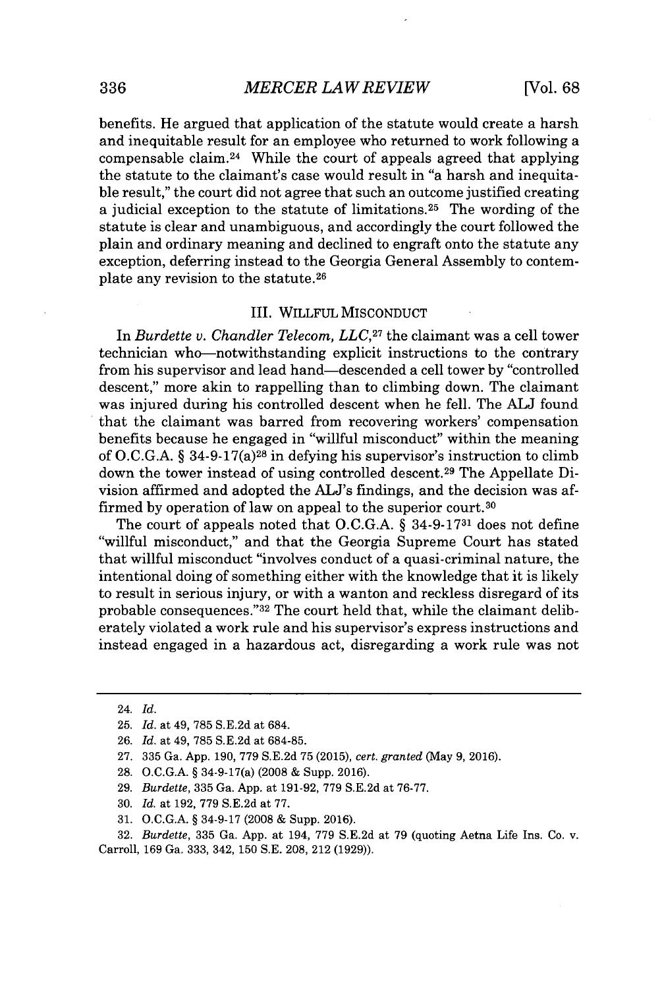benefits. He argued that application of the statute would create a harsh and inequitable result for an employee who returned to work following a compensable claim.<sup>24</sup> While the court of appeals agreed that applying the statute to the claimant's case would result in "a harsh and inequitable result," the court did not agree that such an outcome justified creating a judicial exception to the statute of limitations.<sup>25</sup> The wording of the statute is clear and unambiguous, and accordingly the court followed the plain and ordinary meaning and declined to engraft onto the statute any exception, deferring instead to the Georgia General Assembly to contemplate any revision to the statute. <sup>26</sup>

## III. WILLFUL **MISCONDUCT**

In *Burdette v. Chandler Telecom, LLC*,<sup>27</sup> the claimant was a cell tower technician who-notwithstanding explicit instructions to the contrary from his supervisor and lead hand-descended a cell tower **by** "controlled descent," more akin to rappelling than to climbing down. The claimant was injured during his controlled descent when he fell. The **ALJ** found that the claimant was barred from recovering workers' compensation benefits because he engaged in "willful misconduct" within the meaning of **O.C.G.A. §** 34-9-17(a) <sup>28</sup>in defying his supervisor's instruction to climb down the tower instead of using controlled descent.29 The Appellate Division affirmed and adopted the AL's findings, and the decision was affirmed **by** operation of law on appeal to the superior court.<sup>30</sup>

The court of appeals noted that **O.C.G.A. § 34-9-1731** does not define "willful misconduct," and that the Georgia Supreme Court has stated that willful misconduct "involves conduct of a quasi-criminal nature, the intentional doing of something either with the knowledge that it is likely to result in serious injury, or with a wanton and reckless disregard of its probable consequences." 32 The court held that, while the claimant deliberately violated a work rule and his supervisor's express instructions and instead engaged in a hazardous act, disregarding a work rule was not

<sup>24.</sup> *Id.*

**<sup>25.</sup>** *Id.* at 49, **785 S.E.2d** at 684.

**<sup>26.</sup>** *Id.* at 49, **785 S.E.2d** at **684-85.**

**<sup>27. 335</sup>** Ga. **App. 190, 779 S.E.2d 75 (2015),** *cert. granted* (May **9, 2016).**

**<sup>28.</sup> O.C.G.A. §** 34-9-17(a) **(2008 &** Supp. **2016).**

**<sup>29.</sup>** *Burdette,* **335** Ga. **App.** at **191-92, 779 S.E.2d** at **76-77.**

**<sup>30.</sup>** *Id.* at **192, 779 S.E.2d** at **77.**

**<sup>31.</sup> O.C.G.A. § 34-9-17 (2008 &** Supp. **2016).**

**<sup>32.</sup>** *Burdette,* **335** Ga. **App.** at 194, **779 S.E.2d** at **79** (quoting Aetna Life Ins. Co. v. Carroll, **169** Ga. **333,** 342, **150 S.E. 208,** 212 **(1929)).**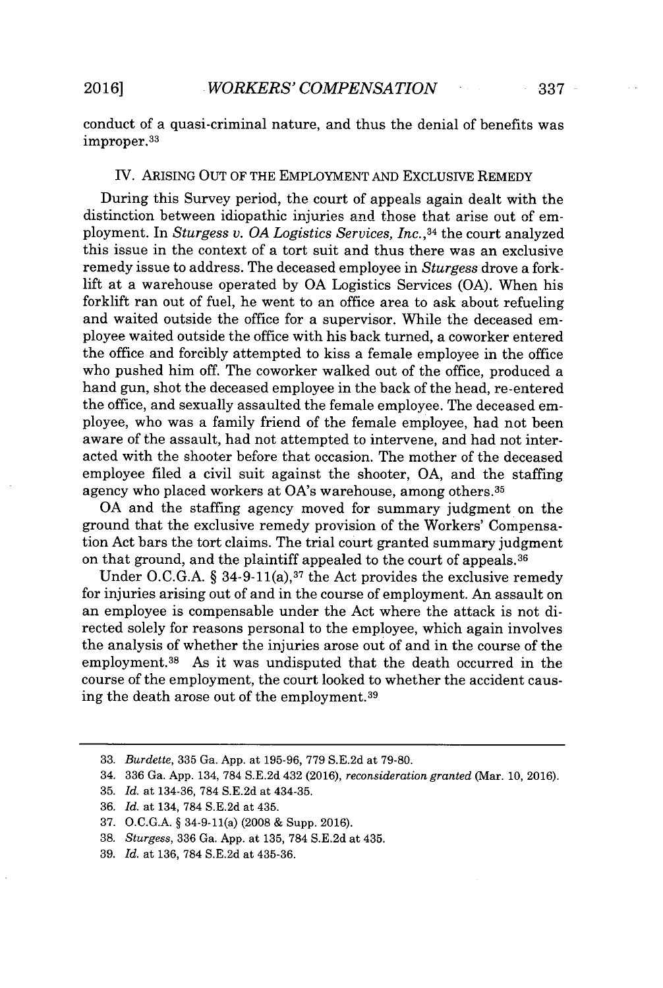conduct of a quasi-criminal nature, and thus the denial of benefits was improper.<sup>33</sup>

### *IV.* ARISING **OUT** OF THE EMPLOYMENT **AND** EXCLUSIVE REMEDY

During this Survey period, the court of appeals again dealt with the distinction between idiopathic injuries and those that arise out of employment. In *Sturgess v. OA Logistics Services, Inc., <sup>34</sup>*the court analyzed this issue in the context of a tort suit and thus there was an exclusive remedy issue to address. The deceased employee in *Sturgess* drove a forklift at a warehouse operated **by OA** Logistics Services **(OA).** When his forklift ran out of fuel, he went to an office area to ask about refueling and waited outside the office for a supervisor. While the deceased employee waited outside the office with his back turned, a coworker entered the office and forcibly attempted to kiss a female employee in the office who pushed him off. The coworker walked out of the office, produced a hand gun, shot the deceased employee in the back of the head, re-entered the office, and sexually assaulted the female employee. The deceased employee, who was a family friend of the female employee, had not been aware of the assault, had not attempted to intervene, and had not interacted with the shooter before that occasion. The mother of the deceased employee filed a civil suit against the shooter, **OA,** and the staffing agency who placed workers at OA's warehouse, among others. <sup>35</sup>

**OA** and the staffing agency moved for summary judgment on the ground that the exclusive remedy provision of the Workers' Compensation Act bars the tort claims. The trial court granted summary judgment on that ground, and the plaintiff appealed to the court of appeals. <sup>36</sup>

Under O.C.G.A. § 34-9-11(a),<sup>37</sup> the Act provides the exclusive remedy for injuries arising out of and in the course of employment. An assault on an employee is compensable under the Act where the attack is not directed solely for reasons personal to the employee, which again involves the analysis of whether the injuries arose out of and in the course of the employment.<sup>38</sup> As it was undisputed that the death occurred in the course of the employment, the court looked to whether the accident causing the death arose out of the employment.<sup>39</sup>

**<sup>33.</sup>** *Burdette,* **335** Ga. **App.** at **195-96, 779 S.E.2d** at **79-80.**

<sup>34.</sup> **336** Ga. **App.** 134, **784 S.E.2d** 432 **(2016),** *reconsideration granted* **(Mar. 10, 2016).**

**<sup>35.</sup>** *Id. at* 134-36, **784 S.E.2d** at 434-35.

**<sup>36.</sup>** *Id. at* 134, **784 S.E.2d** at 435.

**<sup>37.</sup> O.C.G.A. §** 34-9-11(a) **(2008 &** Supp. **2016).**

**<sup>38.</sup>** *Sturgess,* **336** Ga. **App.** at **135, 784 S.E.2d** at 435.

**<sup>39.</sup>** *Id.* at **136, 784 S.E.2d** at **435-36.**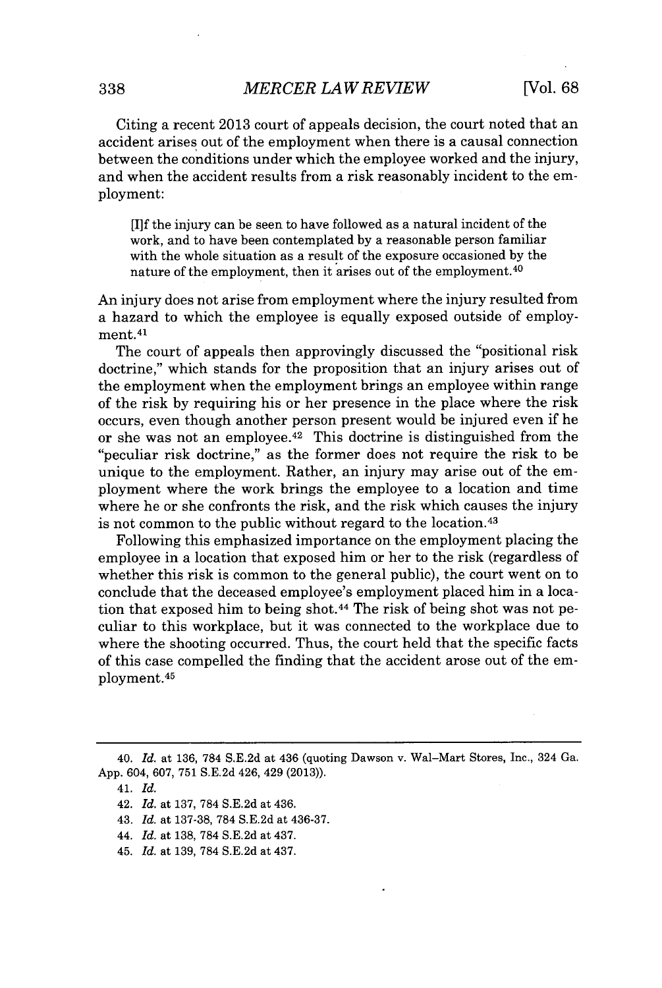Citing a recent **2013** court of appeals decision, the court noted that an accident arises out of the employment when there is a causal connection between the conditions under which the employee worked and the injury, and when the accident results from a risk reasonably incident to the employment:

[I]f the injury can be seen to have followed as a natural incident of the work, and to have been contemplated **by** a reasonable person familiar with the whole situation as a result of the exposure occasioned **by** the nature of the employment, then it arises out of the employment.<sup>40</sup>

An injury does not arise from employment where the injury resulted from a hazard to which the employee is equally exposed outside of employment. <sup>4</sup> 1

The court of appeals then approvingly discussed the "positional risk doctrine," which stands for the proposition that an injury arises out of the employment when the employment brings an employee within range of the risk **by** requiring his or her presence in the place where the risk occurs, even though another person present would be injured even if he or she was not an employee.<sup> $42$ </sup> This doctrine is distinguished from the "peculiar risk doctrine," as the former does not require the risk to be unique to the employment. Rather, an injury may arise out of the employment where the work brings the employee to a location and time where he or she confronts the risk, and the risk which causes the injury is not common to the public without regard to the location. <sup>43</sup>

Following this emphasized importance on the employment placing the employee in a location that exposed him or her to the risk (regardless of whether this risk is common to the general public), the court went on to conclude that the deceased employee's employment placed him in a location that exposed him to being shot.<sup>44</sup> The risk of being shot was not peculiar to this workplace, but it was connected to the workplace due to where the shooting occurred. Thus, the court held that the specific facts of this case compelled the finding that the accident arose out of the employment.<sup>45</sup>

<sup>40.</sup> *Id.* at **136, 784 S.E.2d** at 436 (quoting Dawson v. Wal-Mart Stores, Inc., 324 Ga. **App.** 604, **607, 751 S.E.2d** 426, 429 **(2013)).**

<sup>4</sup> *1. Id.*

<sup>42.</sup> *Id.* at **137, 784 S.E.2d** at 436.

<sup>43.</sup> *Id.* at **137-38, 784 S.E.2d** at **436-37.**

<sup>44.</sup> *Id.* at **138, 784 S.E.2d** at 437.

<sup>45.</sup> *Id.* at **139, 784 S.E.2d** at 437.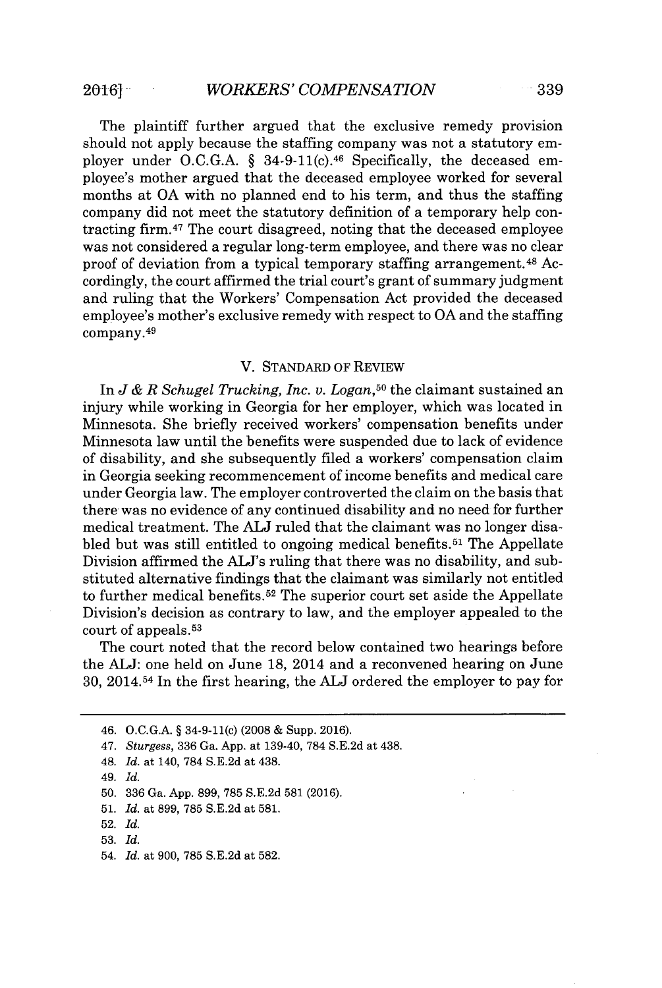The plaintiff further argued that the exclusive remedy provision should not apply because the staffing company was not a statutory employer under O.C.G.A. § 34-9-11(c).<sup>46</sup> Specifically, the deceased employee's mother argued that the deceased employee worked for several months at **OA** with no planned end to his term, and thus the staffing company did not meet the statutory definition of a temporary help contracting firm.<sup>47</sup> The court disagreed, noting that the deceased employee was not considered a regular long-term employee, and there was no clear proof of deviation from a typical temporary staffing arrangement.<sup>48</sup> Accordingly, the court affirmed the trial court's grant of summary judgment and ruling that the Workers' Compensation Act provided the deceased employee's mother's exclusive remedy with respect to **OA** and the staffing company.<sup>49</sup>

#### V. **STANDARD** OF REVIEW

In *J & R Schugel Trucking, Inc. v. Logan,<sup>50</sup>*the claimant sustained an injury while working in Georgia for her employer, which was located in Minnesota. She briefly received workers' compensation benefits under Minnesota law until the benefits were suspended due to lack of evidence of disability, and she subsequently filed a workers' compensation claim in Georgia seeking recommencement of income benefits and medical care under Georgia law. The employer controverted the claim on the basis that there was no evidence of any continued disability and no need for further medical treatment. The **ALJ** ruled that the claimant was no longer disabled but was still entitled to ongoing medical benefits.<sup>51</sup> The Appellate Division affirmed the ALJ's ruling that there was no disability, and substituted alternative findings that the claimant was similarly not entitled to further medical benefits.<sup>52</sup> The superior court set aside the Appellate Division's decision as contrary to law, and the employer appealed to the court of appeals. <sup>53</sup>

The court noted that the record below contained two hearings before the **ALJ:** one held on June **18,** 2014 and a reconvened hearing on June **30,** 2014.54 In the first hearing, the **ALJ** ordered the employer to pay for

54. *Id.* at **900, 785 S.E.2d** at **582.**

<sup>46.</sup> **O.C.G.A.** *§* 34-9-11(c) **(2008 &** Supp. **2016).**

<sup>47.</sup> *Sturgess,* **336** Ga. **App.** at 139-40, **784 S.E.2d** at 438.

<sup>48.</sup> *Id.* at 140, **784 S.E.2d** at 438.

<sup>49.</sup> *Id.*

**<sup>50. 336</sup>** Ga. **App. 899, 785 S.E.2d 581 (2016).**

**<sup>51.</sup>** *Id.* at **899, 785 S.E.2d** at **581.**

**<sup>52.</sup>** *Id.*

**<sup>53.</sup>** *Id.*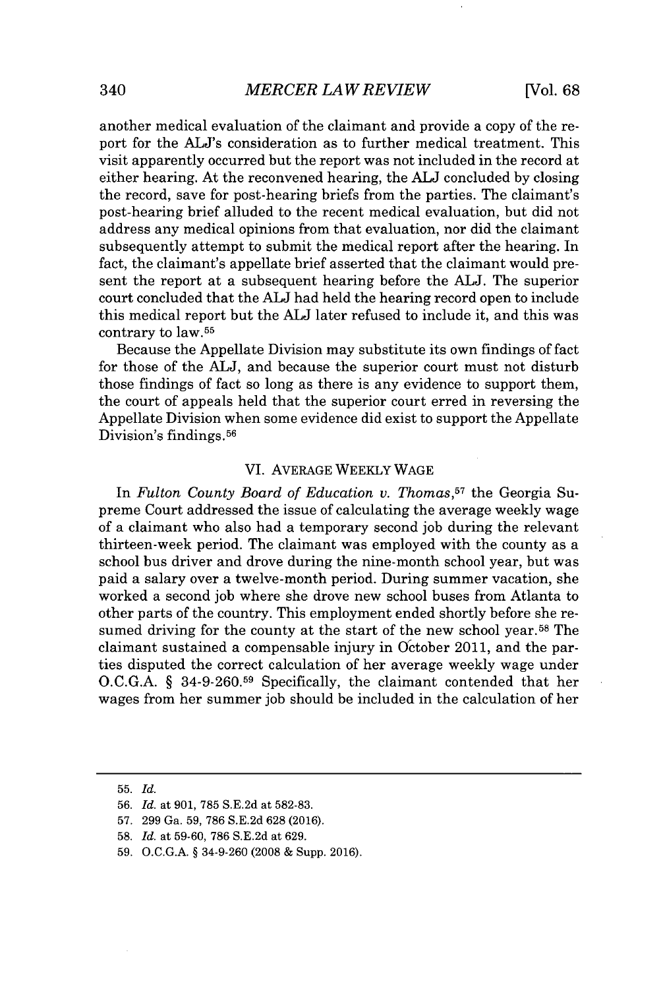another medical evaluation of the claimant and provide a copy of the report for the ALJ's consideration as to further medical treatment. This visit apparently occurred but the report was not included in the record at either hearing. At the reconvened hearing, the **ALJ** concluded **by** closing the record, save for post-hearing briefs from the parties. The claimant's post-hearing brief alluded to the recent medical evaluation, but did not address any medical opinions from that evaluation, nor did the claimant subsequently attempt to submit the medical report after the hearing. In fact, the claimant's appellate brief asserted that the claimant would present the report at a subsequent hearing before the **ALJ.** The superior court concluded that the **ALJ** had held the hearing record open to include this medical report but the **ALJ** later refused to include it, and this was contrary to law.<sup>55</sup>

Because the Appellate Division may substitute its own findings of fact for those of the **ALJ,** and because the superior court must not disturb those findings of fact so long as there is any evidence to support them, the court of appeals held that the superior court erred in reversing the Appellate Division when some evidence did exist to support the Appellate Division's findings.<sup>56</sup>

## VI. AVERAGE WEEKLY **WAGE**

In *Fulton County Board of Education v. Thomas,57* the Georgia Supreme Court addressed the issue of calculating the average weekly wage of a claimant who also had a temporary second **job** during the relevant thirteen-week period. The claimant was employed with the county as a school bus driver and drove during the nine-month school year, but was paid a salary over a twelve-month period. During summer vacation, she worked a second **job** where she drove new school buses from Atlanta to other parts of the country. This employment ended shortly before she resumed driving for the county at the start of the new school year.<sup>58</sup> The claimant sustained a compensable injury in October 2011, and the parties disputed the correct calculation of her average weekly wage under **O.C.G.A. § 34-9-260.59** Specifically, the claimant contended that her wages from her summer **job** should be included in the calculation of her

**<sup>55.</sup>** *Id.*

**<sup>56.</sup>** *Id.* at **901, 785 S.E.2d** at **582-83.**

**<sup>57. 299</sup>** Ga. **59, 786 S.E.2d 628 (2016).**

**<sup>58.</sup>** *Id.* at **59-60, 786 S.E.2d** at **629.**

**<sup>59.</sup> O.C.G.A. §** 34-9-260 **(2008 &** Supp. **2016).**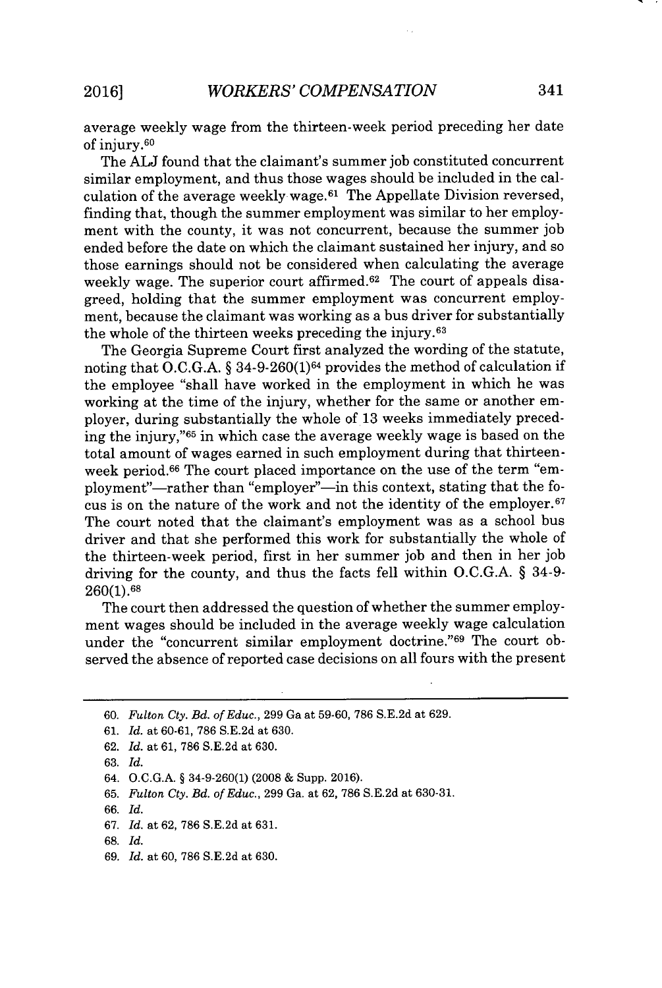average weekly wage from the thirteen-week period preceding her date of injury.<sup>60</sup>

The **ALJ** found that the claimant's summer **job** constituted concurrent similar employment, and thus those wages should be included in the calculation of the average weekly wage.<sup> $61$ </sup> The Appellate Division reversed, finding that, though the summer employment was similar to her employment with the county, it was not concurrent, because the summer **job** ended before the date on which the claimant sustained her injury, and so those earnings should not be considered when calculating the average weekly wage. The superior court affirmed. $62$  The court of appeals disagreed, holding that the summer employment was concurrent employment, because the claimant was working as a bus driver for substantially the whole of the thirteen weeks preceding the injury.<sup>63</sup>

The Georgia Supreme Court first analyzed the wording of the statute, noting that **O.C.G.A.** *§* 34-9-260(1)64 provides the method of calculation if the employee "shall have worked in the employment in which he was working at the time of the injury, whether for the same or another employer, during substantially the whole of **13** weeks immediately preceding the injury,"<sup>65</sup> in which case the average weekly wage is based on the total amount of wages earned in such employment during that thirteenweek period.<sup>66</sup> The court placed importance on the use of the term "employment"—rather than "employer"—in this context, stating that the focus is on the nature of the work and not the identity of the employer.<sup>67</sup> The court noted that the claimant's employment was as a school bus driver and that she performed this work for substantially the whole of the thirteen-week period, first in her summer **job** and then in her **job** driving for the county, and thus the facts fell within **O.C.G.A.** *§* 34-9- **260(1).68**

The court then addressed the question of whether the summer employment wages should be included in the average weekly wage calculation under the "concurrent similar employment doctrine."<sup>69</sup> The court observed the absence of reported case decisions on all fours with the present

- **62.** *Id.* at **61, 786 S.E.2d** at **630.**
- **63.** *Id.*

- *65. Fulton Cty. Bd. of Educ.,* **299** Ga. at **62, 786 S.E.2d** at **630-31.**
- *66. Id.*
- *67. Id.* at **62, 786 S.E.2d** at **631.**
- **68.** *Id.*
- **69.** *Id.* at **60, 786 S.E.2d** at **630.**

**<sup>60.</sup>** *Fulton Cty. Bd. of Educ.,* **299** Ga at **59-60, 786 S.E.2d** at **629.**

**<sup>61.</sup>** *Id.* at **60-61, 786 S.E.2d** at **630.**

<sup>64.</sup> **O.C.G.A.** *§* 34-9-260(1) **(2008 &** Supp. **2016).**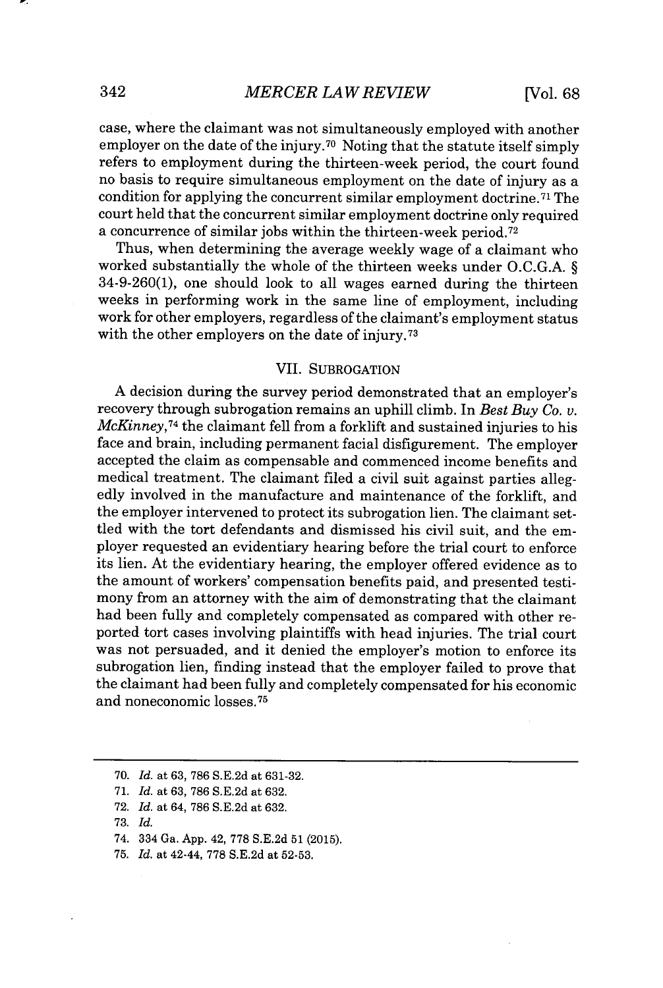case, where the claimant was not simultaneously employed with another employer on the date of the injury.<sup>70</sup> Noting that the statute itself simply refers to employment during the thirteen-week period, the court found no basis to require simultaneous employment on the date of injury as a condition for applying the concurrent similar employment doctrine.<sup>71</sup> The court held that the concurrent similar employment doctrine only required a concurrence of similar jobs within the thirteen-week period.<sup>72</sup>

Thus, when determining the average weekly wage of a claimant who worked substantially the whole of the thirteen weeks under **O.C.G.A.** *§* 34-9-260(1), one should look to all wages earned during the thirteen weeks in performing work in the same line of employment, including work for other employers, regardless of the claimant's employment status with the other employers on the date of injury.<sup>73</sup>

### VII. SUBROGATION

**A** decision during the survey period demonstrated that an employer's recovery through subrogation remains an uphill climb. In *Best Buy Co. v. McKinney,<sup>74</sup>*the claimant fell from a forklift and sustained injuries to his face and brain, including permanent facial disfigurement. The employer accepted the claim as compensable and commenced income benefits and medical treatment. The claimant filed a civil suit against parties allegedly involved in the manufacture and maintenance of the forklift, and the employer intervened to protect its subrogation lien. The claimant settled with the tort defendants and dismissed his civil suit, and the employer requested an evidentiary hearing before the trial court to enforce its lien. At the evidentiary hearing, the employer offered evidence as to the amount of workers' compensation benefits paid, and presented testimony from an attorney with the aim of demonstrating that the claimant had been fully and completely compensated as compared with other reported tort cases involving plaintiffs with head injuries. The trial court was not persuaded, and it denied the employer's motion to enforce its subrogation lien, finding instead that the employer failed to prove that the claimant had been fully and completely compensated for his economic and noneconomic losses.<sup>75</sup>

**<sup>70.</sup>** *Id.* at **63, 786 S.E.2d** at **631-32.**

**<sup>71.</sup>** *Id.* at **63, 786 S.E.2d** at **632.**

**<sup>72.</sup>** *Id.* at 64, **786 S.E.2d** at **632.**

**<sup>73.</sup>** *Id.*

<sup>74. 334</sup> Ga. **App.** 42, **778 S.E.2d 51 (2015).**

**<sup>75.</sup>** *Id.* at 42-44, **778 S.E.2d** at **52-53.**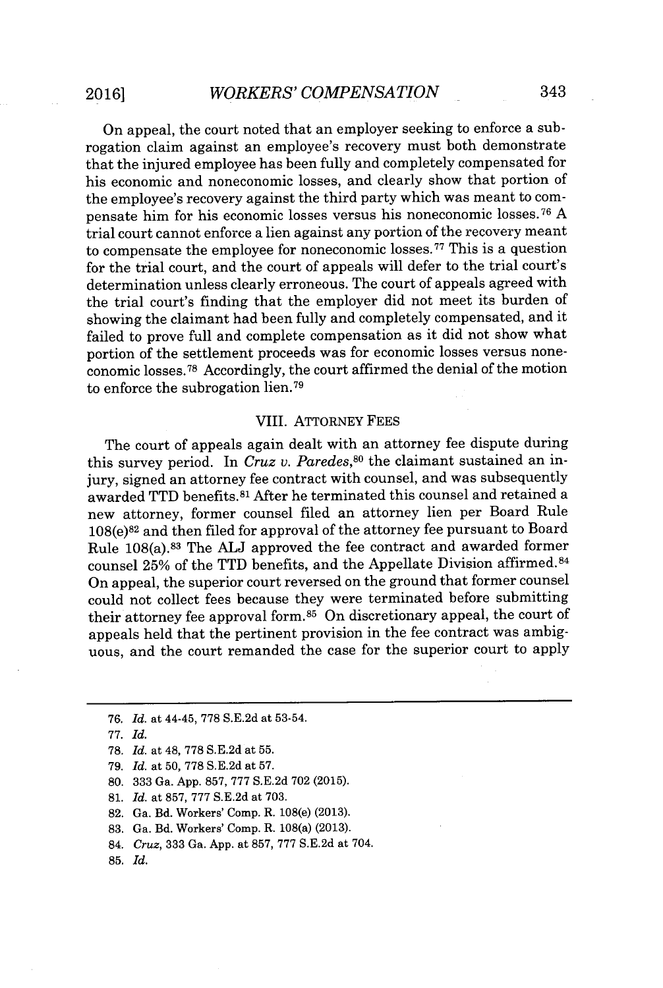On appeal, the court noted that an employer seeking to enforce a subrogation claim against an employee's recovery must both demonstrate that the injured employee has been fully and completely compensated for his economic and noneconomic losses, and clearly show that portion of the employee's recovery against the third party which was meant to compensate him for his economic losses versus his noneconomic losses.<sup>76</sup> A trial court cannot enforce a lien against any portion of the recovery meant to compensate the employee for noneconomic losses.<sup>77</sup> This is a question for the trial court, and the court of appeals will defer to the trial court's determination unless clearly erroneous. The court of appeals agreed with the trial court's finding that the employer did not meet its burden of showing the claimant had been fully and completely compensated, and it failed to prove full and complete compensation as it did not show what portion of the settlement proceeds was for economic losses versus noneconomic losses.<sup>78</sup> Accordingly, the court affirmed the denial of the motion to enforce the subrogation lien.<sup>79</sup>

### VIII. ATTORNEY **FEES**

The court of appeals again dealt with an attorney fee dispute during this survey period. In *Cruz v. Paredes,<sup>80</sup>*the claimant sustained an injury, signed an attorney fee contract with counsel, and was subsequently awarded TTD benefits.<sup>81</sup>After he terminated this counsel and retained a new attorney, former counsel filed an attorney lien per Board Rule  $108(e)^{82}$  and then filed for approval of the attorney fee pursuant to Board Rule 108(a). <sup>83</sup>The **ALJ** approved the fee contract and awarded former counsel **25%** of the TTD benefits, and the Appellate Division affirmed. <sup>84</sup> On appeal, the superior court reversed on the ground that former counsel could not collect fees because they were terminated before submitting their attorney fee approval form.<sup>85</sup> On discretionary appeal, the court of appeals held that the pertinent provision in the fee contract was ambiguous, and the court remanded the case for the superior court to apply

*79. Id.* at **50, 778 S.E.2d** at **57.**

**80. 333** Ga. **App. 857, 777 S.E.2d 702 (2015).**

**81.** *Id.* at **857, 777 S.E.2d** at **703.**

**82.** Ga. Bd. Workers' Comp. R. 108(e) **(2013).**

**83.** Ga. Bd. Workers' Comp. R. 108(a) **(2013).**

- 84. *Cruz,* **333** Ga. **App.** at **857, 777 S.E.2d** at 704.
- **85.** *Id.*

*<sup>76.</sup> Id.* at 44-45, **778 S.E.2d** at **53-54.**

**<sup>77.</sup>** *Id.*

**<sup>78.</sup>** *Id.* at 48, **778 S.E.2d** at **55.**